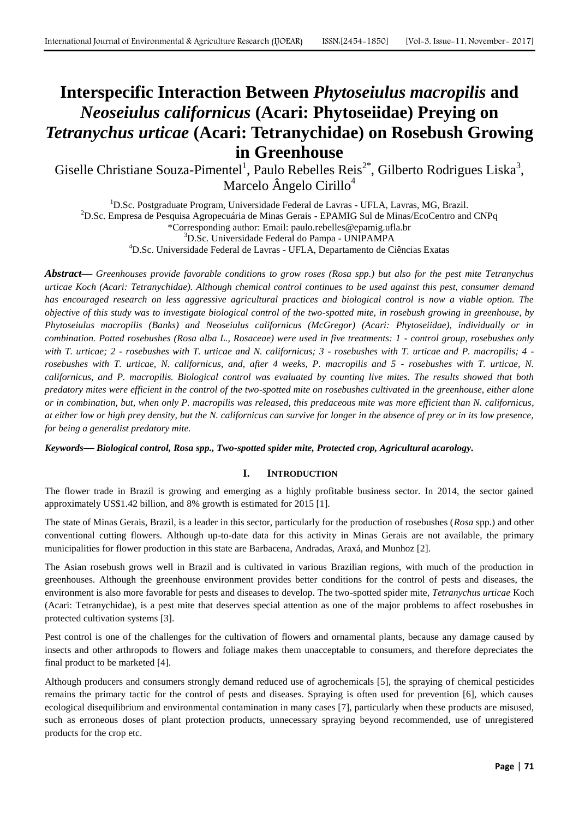# **Interspecific Interaction Between** *Phytoseiulus macropilis* **and**  *Neoseiulus californicus* **(Acari: Phytoseiidae) Preying on**  *Tetranychus urticae* **(Acari: Tetranychidae) on Rosebush Growing in Greenhouse**

Giselle Christiane Souza-Pimentel<sup>1</sup>, Paulo Rebelles Reis<sup>2\*</sup>, Gilberto Rodrigues Liska<sup>3</sup>, Marcelo Ângelo Cirillo<sup>4</sup>

<sup>1</sup>D.Sc. Postgraduate Program, Universidade Federal de Lavras - UFLA, Lavras, MG, Brazil. <sup>2</sup>D.Sc. Empresa de Pesquisa Agropecuária de Minas Gerais - EPAMIG Sul de Minas/EcoCentro and CNPq \*Corresponding author: Email: paulo.rebelles@epamig.ufla.br <sup>3</sup>D.Sc. Universidade Federal do Pampa - UNIPAMPA <sup>4</sup>D.Sc. Universidade Federal de Lavras - UFLA, Departamento de Ciências Exatas

*Abstract***—** *Greenhouses provide favorable conditions to grow roses (Rosa spp.) but also for the pest mite Tetranychus urticae Koch (Acari: Tetranychidae). Although chemical control continues to be used against this pest, consumer demand has encouraged research on less aggressive agricultural practices and biological control is now a viable option. The objective of this study was to investigate biological control of the two-spotted mite, in rosebush growing in greenhouse, by Phytoseiulus macropilis (Banks) and Neoseiulus californicus (McGregor) (Acari: Phytoseiidae), individually or in combination. Potted rosebushes (Rosa alba L., Rosaceae) were used in five treatments: 1 - control group, rosebushes only with T. urticae; 2 - rosebushes with T. urticae and N. californicus; 3 - rosebushes with T. urticae and P. macropilis; 4 rosebushes with T. urticae, N. californicus, and, after 4 weeks, P. macropilis and 5 - rosebushes with T. urticae, N. californicus, and P. macropilis. Biological control was evaluated by counting live mites. The results showed that both predatory mites were efficient in the control of the two-spotted mite on rosebushes cultivated in the greenhouse, either alone or in combination, but, when only P. macropilis was released, this predaceous mite was more efficient than N. californicus*, *at either low or high prey density*, *but the N. californicus can survive for longer in the absence of prey or in its low presence, for being a generalist predatory mite.*

*Keywords***—** *Biological control, Rosa spp., Two-spotted spider mite, Protected crop, Agricultural acarology.*

# **I. INTRODUCTION**

The flower trade in Brazil is growing and emerging as a highly profitable business sector. In 2014, the sector gained approximately US\$1.42 billion, and 8% growth is estimated for 2015 [1].

The state of Minas Gerais, Brazil, is a leader in this sector, particularly for the production of rosebushes (*Rosa* spp.) and other conventional cutting flowers. Although up-to-date data for this activity in Minas Gerais are not available, the primary municipalities for flower production in this state are Barbacena, Andradas, Araxá, and Munhoz [2].

The Asian rosebush grows well in Brazil and is cultivated in various Brazilian regions, with much of the production in greenhouses. Although the greenhouse environment provides better conditions for the control of pests and diseases, the environment is also more favorable for pests and diseases to develop. The two-spotted spider mite, *Tetranychus urticae* Koch (Acari: Tetranychidae), is a pest mite that deserves special attention as one of the major problems to affect rosebushes in protected cultivation systems [3].

Pest control is one of the challenges for the cultivation of flowers and ornamental plants, because any damage caused by insects and other arthropods to flowers and foliage makes them unacceptable to consumers, and therefore depreciates the final product to be marketed [4].

Although producers and consumers strongly demand reduced use of agrochemicals [5], the spraying of chemical pesticides remains the primary tactic for the control of pests and diseases. Spraying is often used for prevention [6], which causes ecological disequilibrium and environmental contamination in many cases [7], particularly when these products are misused, such as erroneous doses of plant protection products, unnecessary spraying beyond recommended, use of unregistered products for the crop etc.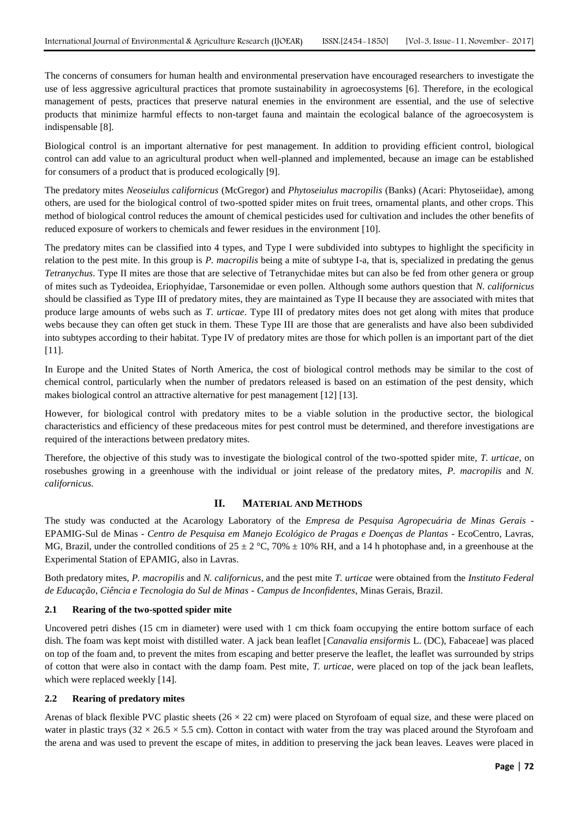The concerns of consumers for human health and environmental preservation have encouraged researchers to investigate the use of less aggressive agricultural practices that promote sustainability in agroecosystems [6]. Therefore, in the ecological management of pests, practices that preserve natural enemies in the environment are essential, and the use of selective products that minimize harmful effects to non-target fauna and maintain the ecological balance of the agroecosystem is indispensable [8].

Biological control is an important alternative for pest management. In addition to providing efficient control, biological control can add value to an agricultural product when well-planned and implemented, because an image can be established for consumers of a product that is produced ecologically [9].

The predatory mites *Neoseiulus californicus* (McGregor) and *Phytoseiulus macropilis* (Banks) (Acari: Phytoseiidae), among others, are used for the biological control of two-spotted spider mites on fruit trees, ornamental plants, and other crops. This method of biological control reduces the amount of chemical pesticides used for cultivation and includes the other benefits of reduced exposure of workers to chemicals and fewer residues in the environment [10].

The predatory mites can be classified into 4 types, and Type I were subdivided into subtypes to highlight the specificity in relation to the pest mite. In this group is *P. macropilis* being a mite of subtype I-a, that is, specialized in predating the genus *Tetranychus*. Type II mites are those that are selective of Tetranychidae mites but can also be fed from other genera or group of mites such as Tydeoidea, Eriophyidae, Tarsonemidae or even pollen. Although some authors question that *N. californicus* should be classified as Type III of predatory mites, they are maintained as Type II because they are associated with mites that produce large amounts of webs such as *T. urticae*. Type III of predatory mites does not get along with mites that produce webs because they can often get stuck in them. These Type III are those that are generalists and have also been subdivided into subtypes according to their habitat. Type IV of predatory mites are those for which pollen is an important part of the diet [11].

In Europe and the United States of North America, the cost of biological control methods may be similar to the cost of chemical control, particularly when the number of predators released is based on an estimation of the pest density, which makes biological control an attractive alternative for pest management [12] [13].

However, for biological control with predatory mites to be a viable solution in the productive sector, the biological characteristics and efficiency of these predaceous mites for pest control must be determined, and therefore investigations are required of the interactions between predatory mites.

Therefore, the objective of this study was to investigate the biological control of the two-spotted spider mite, *T. urticae*, on rosebushes growing in a greenhouse with the individual or joint release of the predatory mites, *P. macropilis* and *N. californicus*.

## **II. MATERIAL AND METHODS**

The study was conducted at the Acarology Laboratory of the *Empresa de Pesquisa Agropecuária de Minas Gerais* - EPAMIG-Sul de Minas - *Centro de Pesquisa em Manejo Ecológico de Pragas e Doenças de Plantas* - EcoCentro, Lavras, MG, Brazil, under the controlled conditions of  $25 \pm 2$  °C, 70%  $\pm$  10% RH, and a 14 h photophase and, in a greenhouse at the Experimental Station of EPAMIG, also in Lavras.

Both predatory mites, *P. macropilis* and *N. californicus*, and the pest mite *T. urticae* were obtained from the *Instituto Federal de Educação*, *Ciência e Tecnologia do Sul de Minas - Campus de Inconfidentes*, Minas Gerais, Brazil.

## **2.1 Rearing of the two-spotted spider mite**

Uncovered petri dishes (15 cm in diameter) were used with 1 cm thick foam occupying the entire bottom surface of each dish. The foam was kept moist with distilled water. A jack bean leaflet [*Canavalia ensiformis* L. (DC), Fabaceae] was placed on top of the foam and, to prevent the mites from escaping and better preserve the leaflet, the leaflet was surrounded by strips of cotton that were also in contact with the damp foam. Pest mite, *T. urticae*, were placed on top of the jack bean leaflets, which were replaced weekly [14].

## **2.2 Rearing of predatory mites**

Arenas of black flexible PVC plastic sheets ( $26 \times 22$  cm) were placed on Styrofoam of equal size, and these were placed on water in plastic trays  $(32 \times 26.5 \times 5.5 \text{ cm})$ . Cotton in contact with water from the tray was placed around the Styrofoam and the arena and was used to prevent the escape of mites, in addition to preserving the jack bean leaves. Leaves were placed in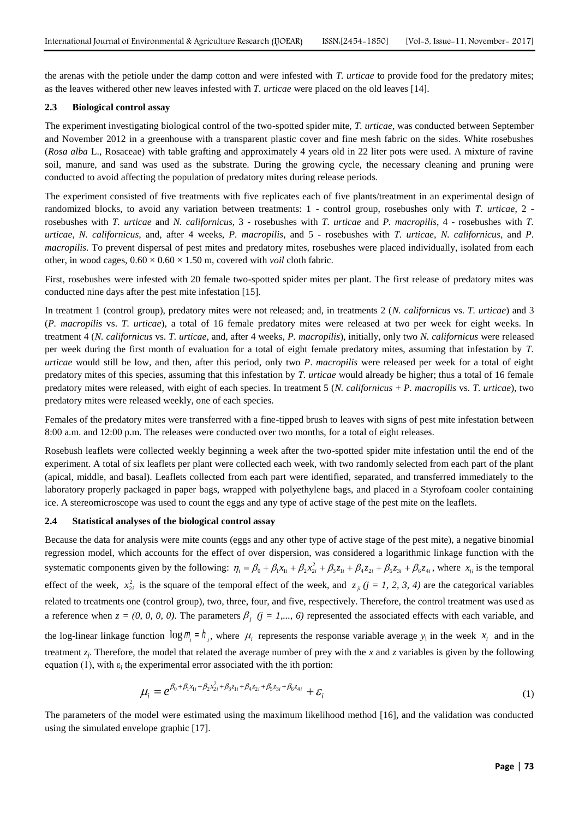the arenas with the petiole under the damp cotton and were infested with *T. urticae* to provide food for the predatory mites; as the leaves withered other new leaves infested with *T. urticae* were placed on the old leaves [14].

#### **2.3 Biological control assay**

The experiment investigating biological control of the two-spotted spider mite, *T. urticae*, was conducted between September and November 2012 in a greenhouse with a transparent plastic cover and fine mesh fabric on the sides. White rosebushes (*Rosa alba* L., Rosaceae) with table grafting and approximately 4 years old in 22 liter pots were used. A mixture of ravine soil, manure, and sand was used as the substrate. During the growing cycle, the necessary cleaning and pruning were conducted to avoid affecting the population of predatory mites during release periods.

The experiment consisted of five treatments with five replicates each of five plants/treatment in an experimental design of randomized blocks, to avoid any variation between treatments: 1 - control group, rosebushes only with *T. urticae*, 2 rosebushes with *T. urticae* and *N. californicus*, 3 - rosebushes with *T. urticae* and *P. macropilis*, 4 - rosebushes with *T. urticae*, *N. californicus*, and, after 4 weeks, *P. macropilis*, and 5 - rosebushes with *T. urticae*, *N. californicus*, and *P. macropilis*. To prevent dispersal of pest mites and predatory mites, rosebushes were placed individually, isolated from each other, in wood cages,  $0.60 \times 0.60 \times 1.50$  m, covered with *voil* cloth fabric.

First, rosebushes were infested with 20 female two-spotted spider mites per plant. The first release of predatory mites was conducted nine days after the pest mite infestation [15].

In treatment 1 (control group), predatory mites were not released; and, in treatments 2 (*N. californicus* vs. *T. urticae*) and 3 (*P. macropilis* vs. *T. urticae*), a total of 16 female predatory mites were released at two per week for eight weeks. In treatment 4 (*N. californicus* vs. *T. urticae*, and, after 4 weeks, *P. macropilis*), initially, only two *N. californicus* were released per week during the first month of evaluation for a total of eight female predatory mites, assuming that infestation by *T. urticae* would still be low, and then, after this period, only two *P*. *macropilis* were released per week for a total of eight predatory mites of this species, assuming that this infestation by *T. urticae* would already be higher; thus a total of 16 female predatory mites were released, with eight of each species. In treatment 5 (*N. californicus* + *P. macropilis* vs. *T. urticae*), two predatory mites were released weekly, one of each species.

Females of the predatory mites were transferred with a fine-tipped brush to leaves with signs of pest mite infestation between 8:00 a.m. and 12:00 p.m. The releases were conducted over two months, for a total of eight releases.

Rosebush leaflets were collected weekly beginning a week after the two-spotted spider mite infestation until the end of the experiment. A total of six leaflets per plant were collected each week, with two randomly selected from each part of the plant (apical, middle, and basal). Leaflets collected from each part were identified, separated, and transferred immediately to the laboratory properly packaged in paper bags, wrapped with polyethylene bags, and placed in a Styrofoam cooler containing ice. A stereomicroscope was used to count the eggs and any type of active stage of the pest mite on the leaflets.

#### **2.4 Statistical analyses of the biological control assay**

Because the data for analysis were mite counts (eggs and any other type of active stage of the pest mite), a negative binomial regression model, which accounts for the effect of over dispersion, was considered a logarithmic linkage function with the systematic components given by the following:  $\eta_i = \beta_0 + \beta_1 x_i + \beta_2 x_2^2$ *i* of over dispersion, was considered a logarithmic linkage function with the  $\eta_i = \beta_0 + \beta_1 x_{1i} + \beta_2 x_{2i}^2 + \beta_3 z_{1i} + \beta_4 z_{2i} + \beta_5 z_{3i} + \beta_6 z_{4i}$ , where  $x_{1i}$  is the temporal effect of the week,  $x_{2i}^2$  is the square of the temporal effect of the week, and  $z_{ji}$  ( $j = 1, 2, 3, 4$ ) are the categorical variables related to treatments one (control group), two, three, four, and five, respectively. Therefore, the control treatment was used as a reference when  $z = (0, 0, 0, 0)$ . The parameters  $\beta_j$  ( $j = 1,..., 6$ ) represented the associated effects with each variable, and the log-linear linkage function  $\log m_i = h_i$ , where  $\mu_i$  represents the response variable average  $y_i$  in the week  $x_i$  and in the treatment  $z_j$ . Therefore, the model that related the average number of prey with the *x* and *z* variables is given by the following equation (1), with  $\varepsilon_i$  the experimental error associated with the ith portion:

$$
\mu_i = e^{\beta_0 + \beta_1 x_{1i} + \beta_2 x_{2i}^2 + \beta_3 z_{1i} + \beta_4 z_{2i} + \beta_5 z_{3i} + \beta_6 z_{4i}} + \varepsilon_i
$$
\n(1)

The parameters of the model were estimated using the maximum likelihood method [16], and the validation was conducted using the simulated envelope graphic [17].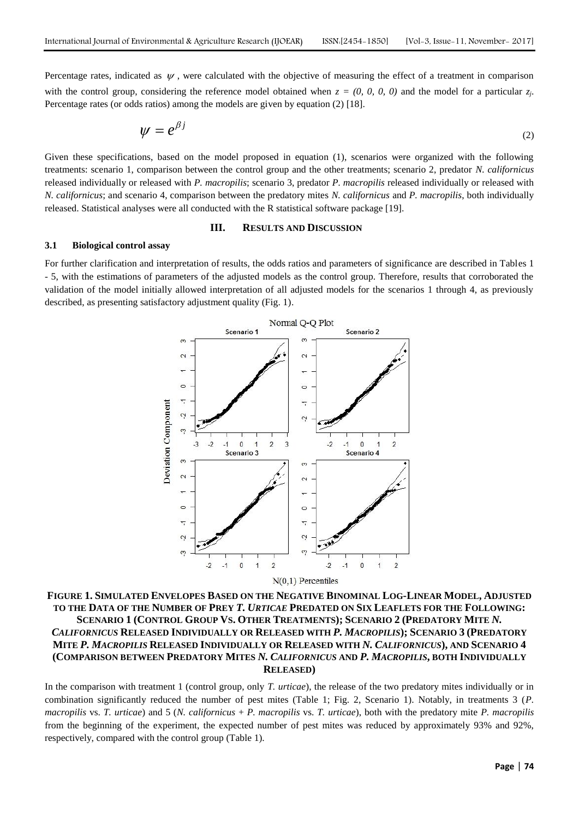Percentage rates, indicated as  $\psi$ , were calculated with the objective of measuring the effect of a treatment in comparison with the control group, considering the reference model obtained when  $z = (0, 0, 0, 0)$  and the model for a particular  $z_j$ . Percentage rates (or odds ratios) among the models are given by equation (2) [18].

$$
\psi = e^{\beta j} \tag{2}
$$

Given these specifications, based on the model proposed in equation (1), scenarios were organized with the following treatments: scenario 1, comparison between the control group and the other treatments; scenario 2, predator *N. californicus* released individually or released with *P. macropilis*; scenario 3, predator *P. macropilis* released individually or released with *N. californicus*; and scenario 4, comparison between the predatory mites *N. californicus* and *P. macropilis*, both individually released. Statistical analyses were all conducted with the R statistical software package [19].

#### **III. RESULTS AND DISCUSSION**

#### **3.1 Biological control assay**

For further clarification and interpretation of results, the odds ratios and parameters of significance are described in Tables 1 - 5, with the estimations of parameters of the adjusted models as the control group. Therefore, results that corroborated the validation of the model initially allowed interpretation of all adjusted models for the scenarios 1 through 4, as previously described, as presenting satisfactory adjustment quality (Fig. 1).



FIGURE 1. SIMULATED ENVELOPES BASED ON THE NEGATIVE BINOMINAL LOG-LINEAR MODEL, ADJUSTED **TO THE DATA OF THE NUMBER OF PREY** *T. URTICAE* **PREDATED ON SIX LEAFLETS FOR THE FOLLOWING:** SCENARIO 1 (CONTROL GROUP VS. OTHER TREATMENTS); SCENARIO 2 (PREDATORY MITE N. *CALIFORNICUS* **RELEASED INDIVIDUALLY OR RELEASED WITH** *P. MACROPILIS***); SCENARIO 3 (PREDATORY MITE** *P. MACROPILIS* **RELEASED INDIVIDUALLY OR RELEASED WITH** *N. CALIFORNICUS***), AND SCENARIO 4 (COMPARISON BETWEEN PREDATORY MITES** *N. CALIFORNICUS* **AND** *P. MACROPILIS***, BOTH INDIVIDUALLY RELEASED)**

In the comparison with treatment 1 (control group, only *T. urticae*), the release of the two predatory mites individually or in combination significantly reduced the number of pest mites (Table 1; Fig. 2, Scenario 1). Notably, in treatments 3 (*P. macropilis* vs. *T. urticae*) and 5 (*N. californicus* + *P. macropilis* vs. *T. urticae*), both with the predatory mite *P. macropilis* from the beginning of the experiment, the expected number of pest mites was reduced by approximately 93% and 92%, respectively, compared with the control group (Table 1).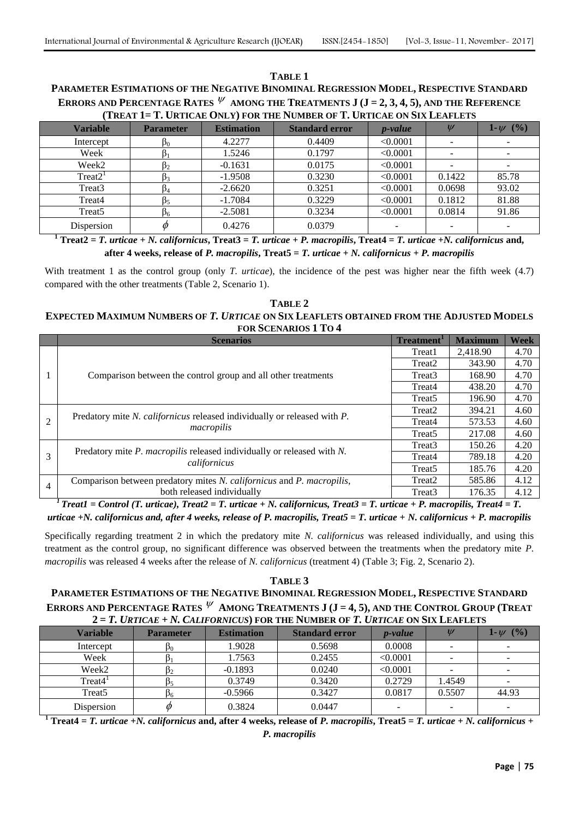### **TABLE 1 PARAMETER ESTIMATIONS OF THE NEGATIVE BINOMINAL REGRESSION MODEL, RESPECTIVE STANDARD E**RRORS AND PERCENTAGE RATES  $\Psi$  among the Treatments **J** (**J** = 2, 3, 4, 5), and the Reference **(TREAT 1= T. URTICAE ONLY) FOR THE NUMBER OF T. URTICAE ON SIX LEAFLETS**

| TREAT I– I. URTICAE UNLY FUR THE NUMBER OF I. URTICAE ON SIX LEAFLETS |                  |                   |                       |            |                          |               |  |
|-----------------------------------------------------------------------|------------------|-------------------|-----------------------|------------|--------------------------|---------------|--|
| <b>Variable</b>                                                       | <b>Parameter</b> | <b>Estimation</b> | <b>Standard error</b> | $p$ -value |                          | 1- $\psi$ (%) |  |
| Intercept                                                             | P <sub>0</sub>   | 4.2277            | 0.4409                | < 0.0001   |                          |               |  |
| Week                                                                  |                  | 1.5246            | 0.1797                | < 0.0001   | $\overline{\phantom{a}}$ |               |  |
| Week2                                                                 |                  | $-0.1631$         | 0.0175                | < 0.0001   |                          |               |  |
| Treat2 <sup>1</sup>                                                   |                  | $-1.9508$         | 0.3230                | < 0.0001   | 0.1422                   | 85.78         |  |
| Treat3                                                                | P4               | $-2.6620$         | 0.3251                | < 0.0001   | 0.0698                   | 93.02         |  |
| Treat4                                                                | P5               | $-1.7084$         | 0.3229                | < 0.0001   | 0.1812                   | 81.88         |  |
| Treat <sub>5</sub>                                                    | P <sub>6</sub>   | $-2.5081$         | 0.3234                | < 0.0001   | 0.0814                   | 91.86         |  |
| Dispersion                                                            |                  | 0.4276            | 0.0379                |            |                          |               |  |

**<sup>1</sup> Treat2** = *T.* urticae + *N.* californicus, Treat3 = *T.* urticae + *P.* macropilis, Treat4 = *T.* urticae +*N.* californicus and, **after 4 weeks, release of** *P. macropilis***, Treat5 =** *T. urticae* **+** *N. californicus* **+** *P. macropilis*

With treatment 1 as the control group (only *T. urticae*), the incidence of the pest was higher near the fifth week (4.7) compared with the other treatments (Table 2, Scenario 1).

## **TABLE 2 EXPECTED MAXIMUM NUMBERS OF** *T. URTICAE* **ON SIX LEAFLETS OBTAINED FROM THE ADJUSTED MODELS FOR SCENARIOS 1 TO 4**

|                | <b>Scenarios</b>                                                                       | Treatment <sup>1</sup> | <b>Maximum</b> | <b>Week</b> |
|----------------|----------------------------------------------------------------------------------------|------------------------|----------------|-------------|
|                |                                                                                        | Treat1                 | 2.418.90       | 4.70        |
|                | Comparison between the control group and all other treatments                          | Treat <sub>2</sub>     | 343.90         | 4.70        |
|                |                                                                                        | Treat3                 | 168.90         | 4.70        |
|                |                                                                                        | Treat4                 | 438.20         | 4.70        |
|                |                                                                                        | Treat <sub>5</sub>     | 196.90         | 4.70        |
| 2              |                                                                                        | Treat <sub>2</sub>     | 394.21         | 4.60        |
|                | Predatory mite N. californicus released individually or released with P.<br>macropilis | Treat4                 | 573.53         | 4.60        |
|                |                                                                                        | Treat <sub>5</sub>     | 217.08         | 4.60        |
| 3              |                                                                                        | Treat3                 | 150.26         | 4.20        |
|                | Predatory mite P. macropilis released individually or released with N.<br>californicus | Treat4                 | 789.18         | 4.20        |
|                |                                                                                        | Treat <sub>5</sub>     | 185.76         | 4.20        |
| $\overline{4}$ | Comparison between predatory mites N. californicus and P. macropilis,                  | Treat <sub>2</sub>     | 585.86         | 4.12        |
|                | both released individually                                                             | Treat3                 | 176.35         | 4.12        |

*<sup>1</sup>Treat1 = Control (T. urticae), Treat2 = T. urticae + N. californicus, Treat3 = T. urticae + P. macropilis, Treat4 = T. urticae +N. californicus and, after 4 weeks, release of P. macropilis, Treat5 = T. urticae + N. californicus + P. macropilis*

Specifically regarding treatment 2 in which the predatory mite *N. californicus* was released individually, and using this treatment as the control group, no significant difference was observed between the treatments when the predatory mite *P. macropilis* was released 4 weeks after the release of *N. californicus* (treatment 4) (Table 3; Fig. 2, Scenario 2).

## **TABLE 3 PARAMETER ESTIMATIONS OF THE NEGATIVE BINOMINAL REGRESSION MODEL, RESPECTIVE STANDARD**  ERRORS AND PERCENTAGE RATES  $^{\psi}$  Among Treatments J (J = 4, 5), and the Control Group (Treat  $2 = T$ , URTICAE + N. CALIFORNICUS) FOR THE NUMBER OF T. URTICAE ON SIX LEAFLETS

| <b>Variable</b>    | <b>Parameter</b> | <b>Estimation</b> | <b>Standard error</b> | $p$ -value | $\overline{U}$ | (%)<br>$1 - U$ |
|--------------------|------------------|-------------------|-----------------------|------------|----------------|----------------|
| Intercept          | PΟ               | 1.9028            | 0.5698                | 0.0008     |                |                |
| Week               |                  | 1.7563            | 0.2455                | < 0.0001   |                |                |
| Week2              |                  | $-0.1893$         | 0.0240                | < 0.0001   |                |                |
| Treat4'            |                  | 0.3749            | 0.3420                | 0.2729     | 1.4549         |                |
| Treat <sub>5</sub> |                  | $-0.5966$         | 0.3427                | 0.0817     | 0.5507         | 44.93          |
| Dispersion         | ⋒                | 0.3824            | 0.0447                | -          |                |                |

<sup>1</sup> **Treat4** = *T. urticae* +*N. californicus* and, after 4 weeks, release of *P. macropilis*, Treat5 = *T. urticae* + *N. californicus* + *P. macropilis*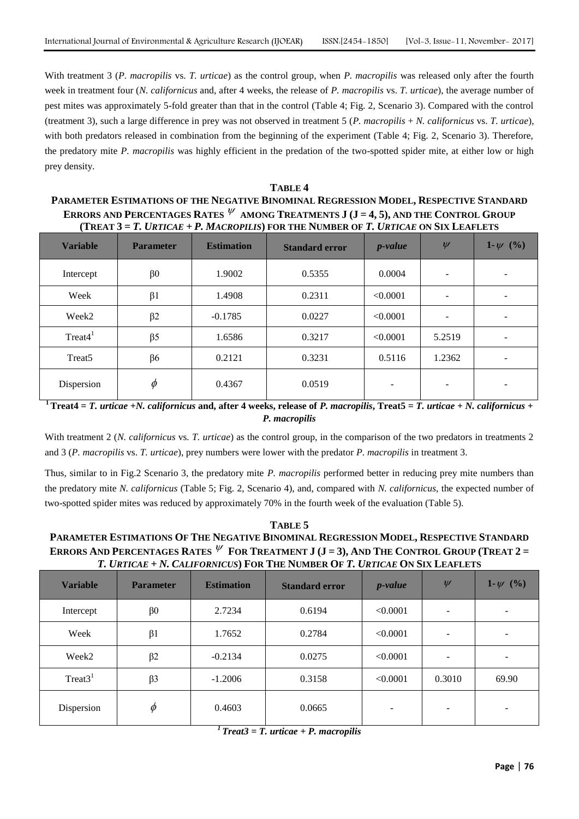With treatment 3 (*P. macropilis* vs. *T. urticae*) as the control group, when *P. macropilis* was released only after the fourth week in treatment four (*N. californicus* and, after 4 weeks, the release of *P. macropilis* vs. *T. urticae*), the average number of pest mites was approximately 5-fold greater than that in the control (Table 4; Fig. 2, Scenario 3). Compared with the control (treatment 3), such a large difference in prey was not observed in treatment 5 (*P. macropilis* + *N. californicus* vs. *T. urticae*), with both predators released in combination from the beginning of the experiment (Table 4; Fig. 2, Scenario 3). Therefore, the predatory mite *P. macropilis* was highly efficient in the predation of the two-spotted spider mite, at either low or high prey density.

# **TABLE 4 PARAMETER ESTIMATIONS OF THE NEGATIVE BINOMINAL REGRESSION MODEL, RESPECTIVE STANDARD ERRORS AND PERCENTAGES RATES AMONG TREATMENTS J (J = 4, 5), AND THE CONTROL GROUP**  (TREAT  $3 = T$ , URTICAE + P, MACROPILIS) FOR THE NUMBER OF T, URTICAE ON SIX LEAFLETS

| <b>Variable</b>       | <b>Parameter</b> | <b>Estimation</b> | <b>Standard error</b> | $p-value$ | $\psi$                   | 1- $\psi$ (%) |
|-----------------------|------------------|-------------------|-----------------------|-----------|--------------------------|---------------|
| Intercept             | $\beta$ 0        | 1.9002            | 0.5355                | 0.0004    | $\overline{\phantom{a}}$ |               |
| Week                  | $\beta$ 1        | 1.4908            | 0.2311                | < 0.0001  | $\overline{\phantom{0}}$ |               |
| Week <sub>2</sub>     | $\beta$ 2        | $-0.1785$         | 0.0227                | < 0.0001  |                          |               |
| $Treat4$ <sup>1</sup> | $\beta$ 5        | 1.6586            | 0.3217                | < 0.0001  | 5.2519                   |               |
| Treat <sub>5</sub>    | $\beta$ 6        | 0.2121            | 0.3231                | 0.5116    | 1.2362                   |               |
| Dispersion            | $\phi$           | 0.4367            | 0.0519                | -         | -                        |               |

**<sup>1</sup>** Treat4 = *T. urticae* +*N. californicus* and, after 4 weeks, release of *P. macropilis*, Treat5 = *T. urticae* + *N. californicus* + *P. macropilis*

With treatment 2 (*N. californicus* vs*. T. urticae*) as the control group, in the comparison of the two predators in treatments 2 and 3 (*P. macropilis* vs. *T. urticae*), prey numbers were lower with the predator *P. macropilis* in treatment 3.

Thus, similar to in Fig.2 Scenario 3, the predatory mite *P. macropilis* performed better in reducing prey mite numbers than the predatory mite *N. californicus* (Table 5; Fig. 2, Scenario 4), and, compared with *N. californicus*, the expected number of two-spotted spider mites was reduced by approximately 70% in the fourth week of the evaluation (Table 5).

# **TABLE 5** PARAMETER ESTIMATIONS OF THE NEGATIVE BINOMINAL REGRESSION MODEL, RESPECTIVE STANDARD ERRORS AND PERCENTAGES RATES  ${}^{\not\vee}$  For Treatment J (J = 3), And The Control Group (Treat 2 = T. URTICAE + N. CALIFORNICUS) FOR THE NUMBER OF T. URTICAE ON SIX LEAFLETS

| <b>Variable</b>   | <b>Parameter</b> | <b>Estimation</b> | <b>Standard error</b> | <i>p</i> -value          | $\psi$                   | 1- $\psi$ (%) |
|-------------------|------------------|-------------------|-----------------------|--------------------------|--------------------------|---------------|
| Intercept         | $\beta$ 0        | 2.7234            | 0.6194                | < 0.0001                 | $\overline{\phantom{a}}$ |               |
| Week              | $\beta$ 1        | 1.7652            | 0.2784                | < 0.0001                 |                          |               |
| Week <sub>2</sub> | $\beta$ 2        | $-0.2134$         | 0.0275                | < 0.0001                 | $\overline{\phantom{a}}$ |               |
| Treat $31$        | $\beta$ 3        | $-1.2006$         | 0.3158                | < 0.0001                 | 0.3010                   | 69.90         |
| Dispersion        | $\phi$           | 0.4603            | 0.0665                | $\overline{\phantom{a}}$ | $\overline{\phantom{a}}$ |               |

*<sup>1</sup>Treat3 = T. urticae + P. macropilis*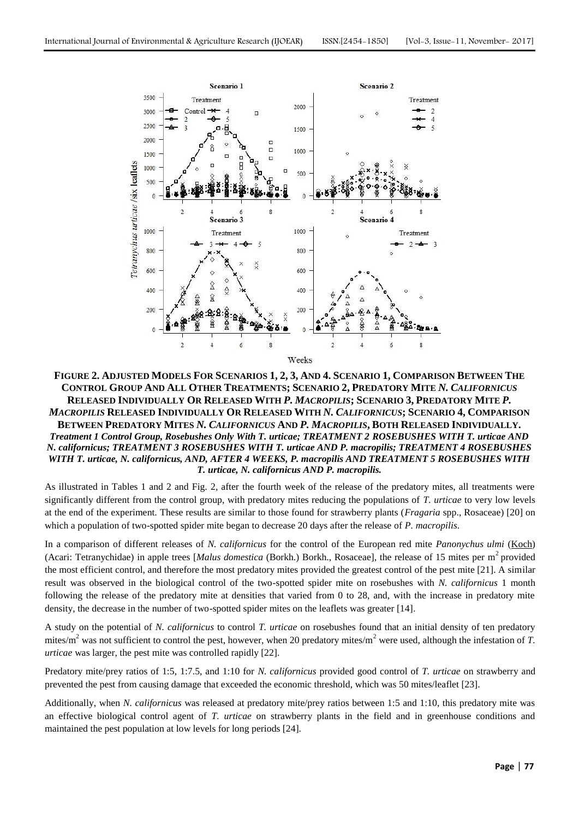

FIGURE 2. ADJUSTED MODELS FOR SCENARIOS 1, 2, 3, AND 4. SCENARIO 1, COMPARISON BETWEEN THE CONTROL GROUP AND ALL OTHER TREATMENTS; SCENARIO 2, PREDATORY MITE N. CALIFORNICUS RELEASED INDIVIDUALLY OR RELEASED WITH P. MACROPILIS; SCENARIO 3, PREDATORY MITE P. MACROPILIS RELEASED INDIVIDUALLY OR RELEASED WITH N. CALIFORNICUS; SCENARIO 4, COMPARISON BETWEEN PREDATORY MITES N. CALIFORNICUS AND P. MACROPILIS, BOTH RELEASED INDIVIDUALLY. *Treatment 1 Control Group, Rosebushes Only With T. urticae; TREATMENT 2 ROSEBUSHES WITH T. urticae AND N. californicus; TREATMENT 3 ROSEBUSHES WITH T. urticae AND P. macropilis; TREATMENT 4 ROSEBUSHES WITH T. urticae, N. californicus, AND, AFTER 4 WEEKS, P. macropilis AND TREATMENT 5 ROSEBUSHES WITH T. urticae, N. californicus AND P. macropilis.*

As illustrated in Tables 1 and 2 and Fig. 2, after the fourth week of the release of the predatory mites, all treatments were significantly different from the control group, with predatory mites reducing the populations of *T. urticae* to very low levels at the end of the experiment. These results are similar to those found for strawberry plants (*Fragaria* spp., Rosaceae) [20] on which a population of two-spotted spider mite began to decrease 20 days after the release of *P. macropilis*.

In a comparison of different releases of *N. californicus* for the control of the European red mite *Panonychus ulmi* [\(Koch\)](https://en.wikipedia.org/wiki/Carl_Ludwig_Koch) (Acari: Tetranychidae) in apple trees [*Malus domestica* (Borkh.) Borkh., Rosaceae], the release of 15 mites per m<sup>2</sup> provided the most efficient control, and therefore the most predatory mites provided the greatest control of the pest mite [21]. A similar result was observed in the biological control of the two-spotted spider mite on rosebushes with *N. californicus* 1 month following the release of the predatory mite at densities that varied from 0 to 28, and, with the increase in predatory mite density, the decrease in the number of two-spotted spider mites on the leaflets was greater [14].

A study on the potential of *N. californicus* to control *T. urticae* on rosebushes found that an initial density of ten predatory mites/m<sup>2</sup> was not sufficient to control the pest, however, when 20 predatory mites/m<sup>2</sup> were used, although the infestation of *T*. *urticae* was larger, the pest mite was controlled rapidly [22].

Predatory mite/prey ratios of 1:5, 1:7.5, and 1:10 for *N. californicus* provided good control of *T. urticae* on strawberry and prevented the pest from causing damage that exceeded the economic threshold, which was 50 mites/leaflet [23].

Additionally, when *N. californicus* was released at predatory mite/prey ratios between 1:5 and 1:10, this predatory mite was an effective biological control agent of *T. urticae* on strawberry plants in the field and in greenhouse conditions and maintained the pest population at low levels for long periods [24].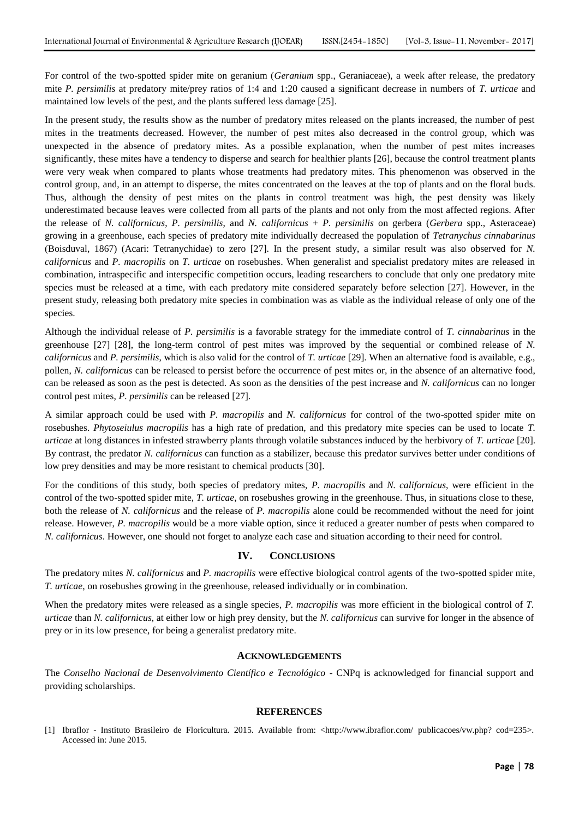For control of the two-spotted spider mite on geranium (*Geranium* spp., Geraniaceae), a week after release, the predatory mite *P. persimilis* at predatory mite/prey ratios of 1:4 and 1:20 caused a significant decrease in numbers of *T. urticae* and maintained low levels of the pest, and the plants suffered less damage [25].

In the present study, the results show as the number of predatory mites released on the plants increased, the number of pest mites in the treatments decreased. However, the number of pest mites also decreased in the control group, which was unexpected in the absence of predatory mites. As a possible explanation, when the number of pest mites increases significantly, these mites have a tendency to disperse and search for healthier plants [26], because the control treatment plants were very weak when compared to plants whose treatments had predatory mites. This phenomenon was observed in the control group, and, in an attempt to disperse, the mites concentrated on the leaves at the top of plants and on the floral buds. Thus, although the density of pest mites on the plants in control treatment was high, the pest density was likely underestimated because leaves were collected from all parts of the plants and not only from the most affected regions. After the release of *N. californicus*, *P. persimilis*, and *N. californicus* + *P. persimilis* on gerbera (*Gerbera* spp., Asteraceae) growing in a greenhouse, each species of predatory mite individually decreased the population of *Tetranychus cinnabarinus* (Boisduval, 1867) (Acari: Tetranychidae) to zero [27]. In the present study, a similar result was also observed for *N. californicus* and *P. macropilis* on *T. urticae* on rosebushes. When generalist and specialist predatory mites are released in combination, intraspecific and interspecific competition occurs, leading researchers to conclude that only one predatory mite species must be released at a time, with each predatory mite considered separately before selection [27]. However, in the present study, releasing both predatory mite species in combination was as viable as the individual release of only one of the species.

Although the individual release of *P. persimilis* is a favorable strategy for the immediate control of *T. cinnabarinus* in the greenhouse [27] [28], the long-term control of pest mites was improved by the sequential or combined release of *N. californicus* and *P. persimilis*, which is also valid for the control of *T. urticae* [29]. When an alternative food is available, e.g., pollen, *N. californicus* can be released to persist before the occurrence of pest mites or, in the absence of an alternative food, can be released as soon as the pest is detected. As soon as the densities of the pest increase and *N. californicus* can no longer control pest mites, *P. persimilis* can be released [27].

A similar approach could be used with *P. macropilis* and *N. californicus* for control of the two-spotted spider mite on rosebushes. *Phytoseiulus macropilis* has a high rate of predation, and this predatory mite species can be used to locate *T. urticae* at long distances in infested strawberry plants through volatile substances induced by the herbivory of *T. urticae* [20]. By contrast, the predator *N. californicus* can function as a stabilizer, because this predator survives better under conditions of low prey densities and may be more resistant to chemical products [30].

For the conditions of this study, both species of predatory mites, *P. macropilis* and *N. californicus*, were efficient in the control of the two-spotted spider mite, *T. urticae*, on rosebushes growing in the greenhouse. Thus, in situations close to these, both the release of *N. californicus* and the release of *P. macropilis* alone could be recommended without the need for joint release. However, *P. macropilis* would be a more viable option, since it reduced a greater number of pests when compared to *N. californicus*. However, one should not forget to analyze each case and situation according to their need for control.

## **IV. CONCLUSIONS**

The predatory mites *N. californicus* and *P. macropilis* were effective biological control agents of the two-spotted spider mite, *T. urticae*, on rosebushes growing in the greenhouse, released individually or in combination.

When the predatory mites were released as a single species, *P. macropilis* was more efficient in the biological control of *T*. *urticae* than *N. californicus*, at either low or high prey density, but the *N. californicus* can survive for longer in the absence of prey or in its low presence, for being a generalist predatory mite.

## **ACKNOWLEDGEMENTS**

The *Conselho Nacional de Desenvolvimento Científico e Tecnológico* - CNPq is acknowledged for financial support and providing scholarships.

#### **REFERENCES**

[1] Ibraflor - Instituto Brasileiro de Floricultura. 2015. Available from: <http://www.ibraflor.com/ publicacoes/vw.php? cod=235>. Accessed in: June 2015.